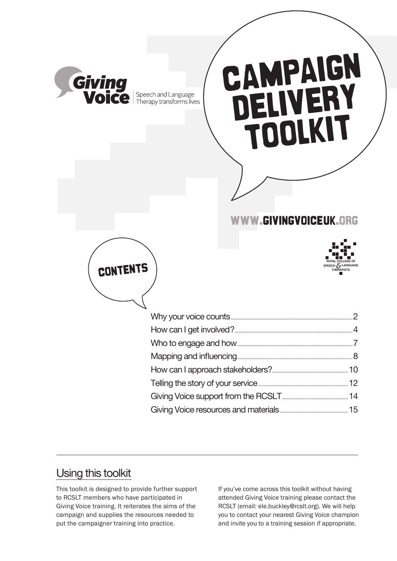

## Using this toolkit

This toolkit is designed to provide further support to RCSLT members who have participated in Giving Voice training. It reiterates the aims of the campaign and supplies the resources needed to put the campaigner training into practice.

If you've come across this toolkit without having attended Giving Voice training please contact the RCSLT (email: ele.buckley@rcslt.org). We will help you to contact your nearest Giving Voice champion and invite you to a training session if appropriate.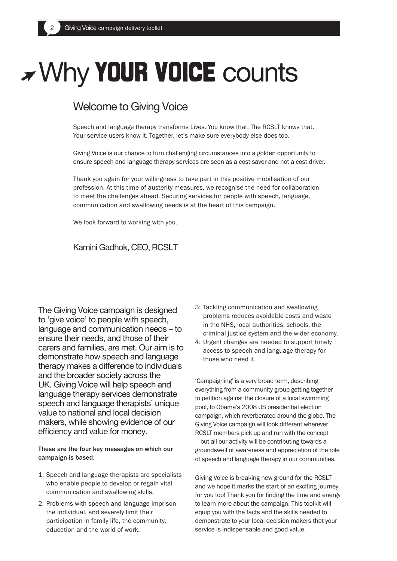# Why **your voice** counts

## Welcome to Giving Voice

Speech and language therapy transforms Lives. You know that. The RCSLT knows that. Your service users know it. Together, let's make sure everybody else does too.

Giving Voice is our chance to turn challenging circumstances into a golden opportunity to ensure speech and language therapy services are seen as a cost saver and not a cost driver.

Thank you again for your willingness to take part in this positive mobilisation of our profession. At this time of austerity measures, we recognise the need for collaboration to meet the challenges ahead. Securing services for people with speech, language, communication and swallowing needs is at the heart of this campaign.

We look forward to working with you.

Kamini Gadhok, CEO, RCSLT

The Giving Voice campaign is designed to 'give voice' to people with speech, language and communication needs – to ensure their needs, and those of their carers and families, are met. Our aim is to demonstrate how speech and language therapy makes a difference to individuals and the broader society across the UK. Giving Voice will help speech and language therapy services demonstrate speech and language therapists' unique value to national and local decision makers, while showing evidence of our efficiency and value for money.

These are the four key messages on which our campaign is based:

- 1: Speech and language therapists are specialists who enable people to develop or regain vital communication and swallowing skills.
- 2: Problems with speech and language imprison the individual, and severely limit their participation in family life, the community, education and the world of work.
- 3: Tackling communication and swallowing problems reduces avoidable costs and waste in the NHS, local authorities, schools, the criminal justice system and the wider economy.
- 4: Urgent changes are needed to support timely access to speech and language therapy for those who need it.

'Campaigning' is a very broad term, describing everything from a community group getting together to petition against the closure of a local swimming pool, to Obama's 2008 US presidential election campaign, which reverberated around the globe. The Giving Voice campaign will look different wherever RCSLT members pick up and run with the concept – but all our activity will be contributing towards a groundswell of awareness and appreciation of the role of speech and language therapy in our communities.

Giving Voice is breaking new ground for the RCSLT and we hope it marks the start of an exciting journey for you too! Thank you for finding the time and energy to learn more about the campaign. This toolkit will equip you with the facts and the skills needed to demonstrate to your local decision makers that your service is indispensable and good value.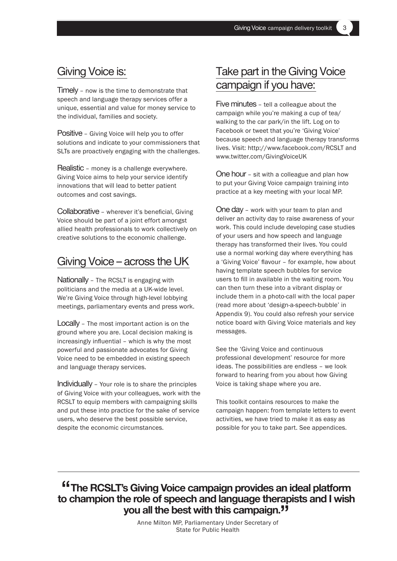## Giving Voice is:

Timely – now is the time to demonstrate that speech and language therapy services offer a unique, essential and value for money service to the individual, families and society.

Positive – Giving Voice will help you to offer solutions and indicate to your commissioners that SLTs are proactively engaging with the challenges.

Realistic – money is a challenge everywhere. Giving Voice aims to help your service identify innovations that will lead to better patient outcomes and cost savings.

Collaborative – wherever it's beneficial, Giving Voice should be part of a joint effort amongst allied health professionals to work collectively on creative solutions to the economic challenge.

## Giving Voice – across the UK

Nationally – The RCSLT is engaging with politicians and the media at a UK-wide level. We're Giving Voice through high-level lobbying meetings, parliamentary events and press work.

Locally – The most important action is on the ground where you are. Local decision making is increasingly influential – which is why the most powerful and passionate advocates for Giving Voice need to be embedded in existing speech and language therapy services.

Individually – Your role is to share the principles of Giving Voice with your colleagues, work with the RCSLT to equip members with campaigning skills and put these into practice for the sake of service users, who deserve the best possible service, despite the economic circumstances.

## Take part in the Giving Voice campaign if you have:

Five minutes – tell a colleague about the campaign while you're making a cup of tea/ walking to the car park/in the lift. Log on to Facebook or tweet that you're 'Giving Voice' because speech and language therapy transforms lives. Visit: http://www.facebook.com/RCSLT and www.twitter.com/GivingVoiceUK

One hour – sit with a colleague and plan how to put your Giving Voice campaign training into practice at a key meeting with your local MP.

One day – work with your team to plan and deliver an activity day to raise awareness of your work. This could include developing case studies of your users and how speech and language therapy has transformed their lives. You could use a normal working day where everything has a 'Giving Voice' flavour – for example, how about having template speech bubbles for service users to fill in available in the waiting room. You can then turn these into a vibrant display or include them in a photo-call with the local paper (read more about 'design-a-speech-bubble' in Appendix 9). You could also refresh your service notice board with Giving Voice materials and key messages.

See the 'Giving Voice and continuous professional development' resource for more ideas. The possibilities are endless – we look forward to hearing from you about how Giving Voice is taking shape where you are.

This toolkit contains resources to make the campaign happen: from template letters to event activities, we have tried to make it as easy as possible for you to take part. See appendices.

## **"The RCSLT's Giving Voice campaign provides an ideal platform to champion the role of speech and language therapists and I wish you all the best with this campaign."**

Anne Milton MP, Parliamentary Under Secretary of State for Public Health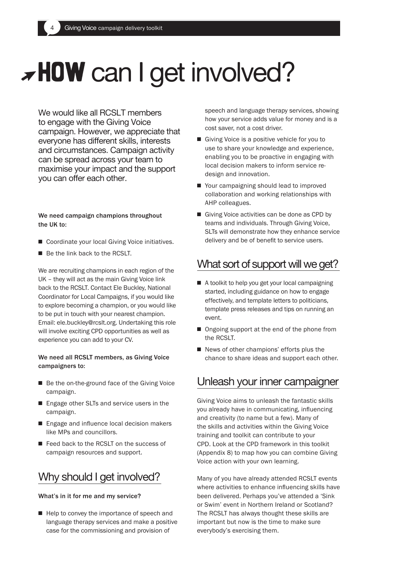# **HOW** can I get involved?

We would like all RCSLT members to engage with the Giving Voice campaign. However, we appreciate that everyone has different skills, interests and circumstances. Campaign activity can be spread across your team to maximise your impact and the support you can offer each other.

#### We need campaign champions throughout the UK to:

- Coordinate your local Giving Voice initiatives.
- $\blacksquare$  Be the link back to the RCSLT.

We are recruiting champions in each region of the UK – they will act as the main Giving Voice link back to the RCSLT. Contact Ele Buckley, National Coordinator for Local Campaigns, if you would like to explore becoming a champion, or you would like to be put in touch with your nearest champion. Email: ele.buckley@rcslt.org. Undertaking this role will involve exciting CPD opportunities as well as experience you can add to your CV.

#### We need all RCSLT members, as Giving Voice campaigners to:

- Be the on-the-ground face of the Giving Voice campaign.
- Engage other SLTs and service users in the campaign.
- $\blacksquare$  Engage and influence local decision makers like MPs and councillors.
- Feed back to the RCSLT on the success of campaign resources and support.

## Why should I get involved?

#### What's in it for me and my service?

 $\blacksquare$  Help to convey the importance of speech and language therapy services and make a positive case for the commissioning and provision of

speech and language therapy services, showing how your service adds value for money and is a cost saver, not a cost driver.

- Giving Voice is a positive vehicle for you to use to share your knowledge and experience, enabling you to be proactive in engaging with local decision makers to inform service redesign and innovation.
- Your campaigning should lead to improved collaboration and working relationships with AHP colleagues.
- Giving Voice activities can be done as CPD by teams and individuals. Through Giving Voice, SLTs will demonstrate how they enhance service delivery and be of benefit to service users.

## What sort of support will we get?

- A toolkit to help you get your local campaigning started, including guidance on how to engage effectively, and template letters to politicians, template press releases and tips on running an event.
- Ongoing support at the end of the phone from the RCSLT.
- $\blacksquare$  News of other champions' efforts plus the chance to share ideas and support each other.

## Unleash your inner campaigner

Giving Voice aims to unleash the fantastic skills you already have in communicating, influencing and creativity (to name but a few). Many of the skills and activities within the Giving Voice training and toolkit can contribute to your CPD. Look at the CPD framework in this toolkit (Appendix 8) to map how you can combine Giving Voice action with your own learning.

Many of you have already attended RCSLT events where activities to enhance influencing skills have been delivered. Perhaps you've attended a 'Sink or Swim' event in Northern Ireland or Scotland? The RCSLT has always thought these skills are important but now is the time to make sure everybody's exercising them.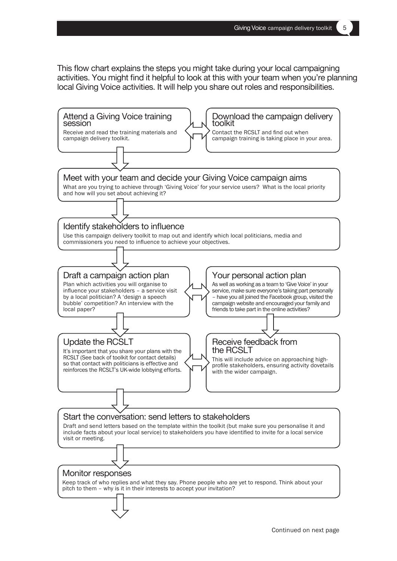This flow chart explains the steps you might take during your local campaigning activities. You might find it helpful to look at this with your team when you're planning local Giving Voice activities. It will help you share out roles and responsibilities.

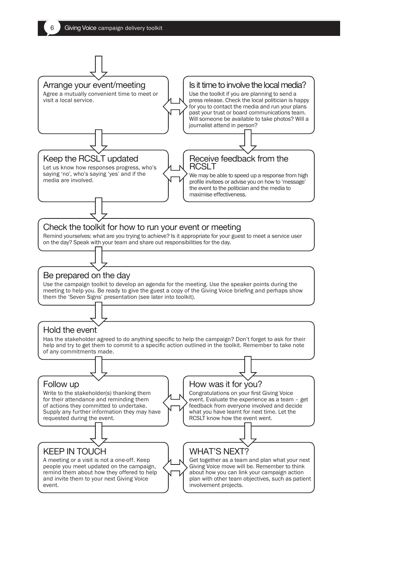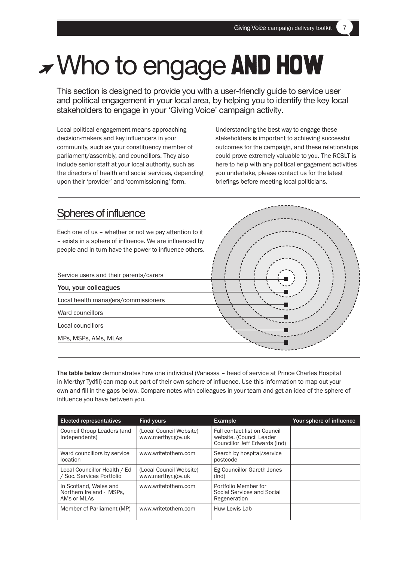## Who to engage **and how**

This section is designed to provide you with a user-friendly guide to service user and political engagement in your local area, by helping you to identify the key local stakeholders to engage in your 'Giving Voice' campaign activity.

Local political engagement means approaching decision-makers and key influencers in your community, such as your constituency member of parliament/assembly, and councillors. They also include senior staff at your local authority, such as the directors of health and social services, depending upon their 'provider' and 'commissioning' form.

Understanding the best way to engage these stakeholders is important to achieving successful outcomes for the campaign, and these relationships could prove extremely valuable to you. The RCSLT is here to help with any political engagement activities you undertake, please contact us for the latest briefings before meeting local politicians.



The table below demonstrates how one individual (Vanessa – head of service at Prince Charles Hospital in Merthyr Tydfil) can map out part of their own sphere of influence. Use this information to map out your own and fill in the gaps below. Compare notes with colleagues in your team and get an idea of the sphere of influence you have between you.

| <b>Elected representatives</b>                                    | <b>Find yours</b>                             | <b>Example</b>                                                                            | Your sphere of influence |
|-------------------------------------------------------------------|-----------------------------------------------|-------------------------------------------------------------------------------------------|--------------------------|
| Council Group Leaders (and<br>Independents)                       | (Local Council Website)<br>www.merthyr.gov.uk | Full contact list on Council<br>website. (Council Leader<br>Councillor Jeff Edwards (Ind) |                          |
| Ward councillors by service<br>location                           | www.writetothem.com                           | Search by hospital/service<br>postcode                                                    |                          |
| Local Councillor Health / Ed<br>/ Soc. Services Portfolio         | (Local Council Website)<br>www.merthyr.gov.uk | Eg Councillor Gareth Jones<br>(Ind)                                                       |                          |
| In Scotland, Wales and<br>Northern Ireland - MSPs,<br>AMs or MLAs | www.writetothem.com                           | Portfolio Member for<br>Social Services and Social<br>Regeneration                        |                          |
| Member of Parliament (MP)                                         | www.writetothem.com                           | Huw Lewis Lab                                                                             |                          |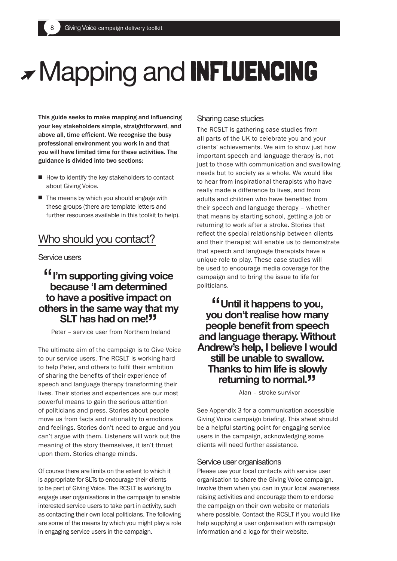## Mapping and **influencing**

This guide seeks to make mapping and influencing your key stakeholders simple, straightforward, and above all, time efficient. We recognise the busy professional environment you work in and that you will have limited time for these activities. The guidance is divided into two sections:

- $\blacksquare$  How to identify the key stakeholders to contact about Giving Voice.
- $\blacksquare$  The means by which you should engage with these groups (there are template letters and further resources available in this toolkit to help).

## Who should you contact?

Service users

## **"I'm supporting giving voice because 'I am determined to have a positive impact on others in the same way that my SLT has had on me!**<sup>"</sup>

Peter – service user from Northern Ireland

The ultimate aim of the campaign is to Give Voice to our service users. The RCSLT is working hard to help Peter, and others to fulfil their ambition of sharing the benefits of their experience of speech and language therapy transforming their lives. Their stories and experiences are our most powerful means to gain the serious attention of politicians and press. Stories about people move us from facts and rationality to emotions and feelings. Stories don't need to argue and you can't argue with them. Listeners will work out the meaning of the story themselves, it isn't thrust upon them. Stories change minds.

Of course there are limits on the extent to which it is appropriate for SLTs to encourage their clients to be part of Giving Voice. The RCSLT is working to engage user organisations in the campaign to enable interested service users to take part in activity, such as contacting their own local politicians. The following are some of the means by which you might play a role in engaging service users in the campaign.

### Sharing case studies

The RCSLT is gathering case studies from all parts of the UK to celebrate you and your clients' achievements. We aim to show just how important speech and language therapy is, not just to those with communication and swallowing needs but to society as a whole. We would like to hear from inspirational therapists who have really made a difference to lives, and from adults and children who have benefited from their speech and language therapy – whether that means by starting school, getting a job or returning to work after a stroke. Stories that reflect the special relationship between clients and their therapist will enable us to demonstrate that speech and language therapists have a unique role to play. These case studies will be used to encourage media coverage for the campaign and to bring the issue to life for politicians.

## **"Until it happens to you, you don't realise how many people benefit from speech and language therapy. Without Andrew's help, I believe I would still be unable to swallow. Thanks to him life is slowly returning to normal."**

Alan – stroke survivor

See Appendix 3 for a communication accessible Giving Voice campaign briefing. This sheet should be a helpful starting point for engaging service users in the campaign, acknowledging some clients will need further assistance.

### Service user organisations

Please use your local contacts with service user organisation to share the Giving Voice campaign. Involve them when you can in your local awareness raising activities and encourage them to endorse the campaign on their own website or materials where possible. Contact the RCSLT if you would like help supplying a user organisation with campaign information and a logo for their website.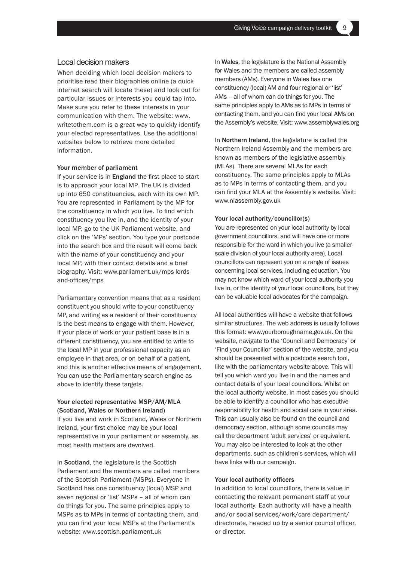#### Local decision makers

When deciding which local decision makers to prioritise read their biographies online (a quick internet search will locate these) and look out for particular issues or interests you could tap into. Make sure you refer to these interests in your communication with them. The website: www. writetothem.com is a great way to quickly identify your elected representatives. Use the additional websites below to retrieve more detailed information.

#### Your member of parliament

If your service is in England the first place to start is to approach your local MP. The UK is divided up into 650 constituencies, each with its own MP. You are represented in Parliament by the MP for the constituency in which you live. To find which constituency you live in, and the identity of your local MP, go to the UK Parliament website, and click on the 'MPs' section. You type your postcode into the search box and the result will come back with the name of your constituency and your local MP, with their contact details and a brief biography. Visit: www.parliament.uk/mps-lordsand-offices/mps

Parliamentary convention means that as a resident constituent you should write to your constituency MP, and writing as a resident of their constituency is the best means to engage with them. However, if your place of work or your patient base is in a different constituency, you are entitled to write to the local MP in your professional capacity as an employee in that area, or on behalf of a patient, and this is another effective means of engagement. You can use the Parliamentary search engine as above to identify these targets.

#### Your elected representative MSP/AM/MLA (Scotland, Wales or Northern Ireland)

If you live and work in Scotland, Wales or Northern Ireland, your first choice may be your local representative in your parliament or assembly, as most health matters are devolved.

In Scotland, the legislature is the Scottish Parliament and the members are called members of the Scottish Parliament (MSPs). Everyone in Scotland has one constituency (local) MSP and seven regional or 'list' MSPs – all of whom can do things for you. The same principles apply to MSPs as to MPs in terms of contacting them, and you can find your local MSPs at the Parliament's website: www.scottish.parliament.uk

In Wales, the legislature is the National Assembly for Wales and the members are called assembly members (AMs). Everyone in Wales has one constituency (local) AM and four regional or 'list' AMs – all of whom can do things for you. The same principles apply to AMs as to MPs in terms of contacting them, and you can find your local AMs on the Assembly's website. Visit: www.assemblywales.org

In Northern Ireland, the legislature is called the Northern Ireland Assembly and the members are known as members of the legislative assembly (MLAs). There are several MLAs for each constituency. The same principles apply to MLAs as to MPs in terms of contacting them, and you can find your MLA at the Assembly's website. Visit: www.niassembly.gov.uk

#### Your local authority/councillor(s)

You are represented on your local authority by local government councillors, and will have one or more responsible for the ward in which you live (a smallerscale division of your local authority area). Local councillors can represent you on a range of issues concerning local services, including education. You may not know which ward of your local authority you live in, or the identity of your local councillors, but they can be valuable local advocates for the campaign.

All local authorities will have a website that follows similar structures. The web address is usually follows this format: www.yourboroughname.gov.uk. On the website, navigate to the 'Council and Democracy' or 'Find your Councillor' section of the website, and you should be presented with a postcode search tool, like with the parliamentary website above. This will tell you which ward you live in and the names and contact details of your local councillors. Whilst on the local authority website, in most cases you should be able to identify a councillor who has executive responsibility for health and social care in your area. This can usually also be found on the council and democracy section, although some councils may call the department 'adult services' or equivalent. You may also be interested to look at the other departments, such as children's services, which will have links with our campaign.

#### Your local authority officers

In addition to local councillors, there is value in contacting the relevant permanent staff at your local authority. Each authority will have a health and/or social services/work/care department/ directorate, headed up by a senior council officer, or director.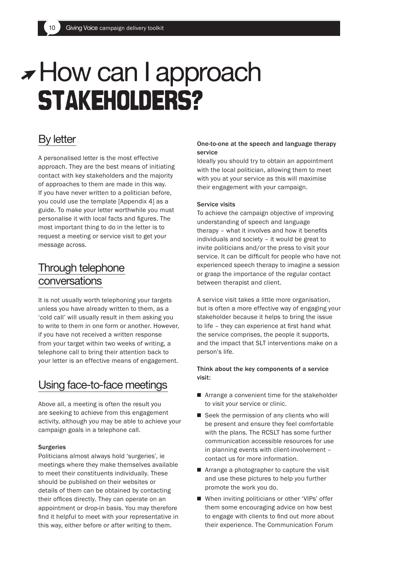## **<del>F</del>How can I approach stakeholders?**

## By letter

A personalised letter is the most effective approach. They are the best means of initiating contact with key stakeholders and the majority of approaches to them are made in this way. If you have never written to a politician before, you could use the template [Appendix 4] as a guide. To make your letter worthwhile you must personalise it with local facts and figures. The most important thing to do in the letter is to request a meeting or service visit to get your message across.

## Through telephone conversations

It is not usually worth telephoning your targets unless you have already written to them, as a 'cold call' will usually result in them asking you to write to them in one form or another. However, if you have not received a written response from your target within two weeks of writing, a telephone call to bring their attention back to your letter is an effective means of engagement.

## Using face-to-face meetings

Above all, a meeting is often the result you are seeking to achieve from this engagement activity, although you may be able to achieve your campaign goals in a telephone call.

#### **Surgeries**

Politicians almost always hold 'surgeries', ie meetings where they make themselves available to meet their constituents individually. These should be published on their websites or details of them can be obtained by contacting their offices directly. They can operate on an appointment or drop-in basis. You may therefore find it helpful to meet with your representative in this way, either before or after writing to them.

#### One-to-one at the speech and language therapy service

Ideally you should try to obtain an appointment with the local politician, allowing them to meet with you at your service as this will maximise their engagement with your campaign.

#### Service visits

To achieve the campaign objective of improving understanding of speech and language therapy – what it involves and how it benefits individuals and society – it would be great to invite politicians and/or the press to visit your service. It can be difficult for people who have not experienced speech therapy to imagine a session or grasp the importance of the regular contact between therapist and client.

A service visit takes a little more organisation, but is often a more effective way of engaging your stakeholder because it helps to bring the issue to life – they can experience at first hand what the service comprises, the people it supports, and the impact that SLT interventions make on a person's life.

### Think about the key components of a service visit:

- $\blacksquare$  Arrange a convenient time for the stakeholder to visit your service or clinic.
- $\blacksquare$  Seek the permission of any clients who will be present and ensure they feel comfortable with the plans. The RCSLT has some further communication accessible resources for use in planning events with client-involvement – contact us for more information.
- Arrange a photographer to capture the visit and use these pictures to help you further promote the work you do.
- When inviting politicians or other 'VIPs' offer them some encouraging advice on how best to engage with clients to find out more about their experience. The Communication Forum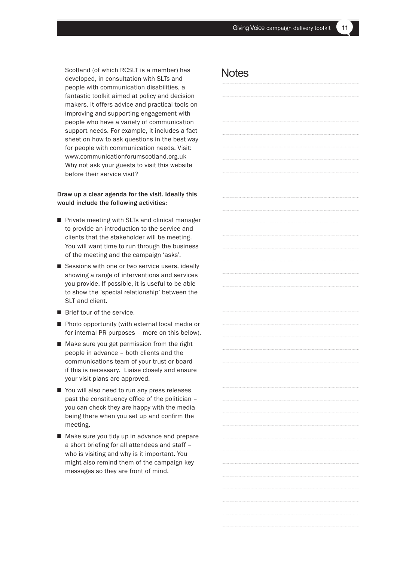Scotland (of which RCSLT is a member) has developed, in consultation with SLTs and people with communication disabilities, a fantastic toolkit aimed at policy and decision makers. It offers advice and practical tools on improving and supporting engagement with people who have a variety of communication support needs. For example, it includes a fact sheet on how to ask questions in the best way for people with communication needs. Visit: www.communicationforumscotland.org.uk Why not ask your guests to visit this website before their service visit?

#### Draw up a clear agenda for the visit. Ideally this would include the following activities:

- Private meeting with SLTs and clinical manager to provide an introduction to the service and clients that the stakeholder will be meeting. You will want time to run through the business of the meeting and the campaign 'asks'.
- Sessions with one or two service users, ideally showing a range of interventions and services you provide. If possible, it is useful to be able to show the 'special relationship' between the SLT and client.
- $\blacksquare$  Brief tour of the service.
- Photo opportunity (with external local media or for internal PR purposes – more on this below).
- $\blacksquare$  Make sure you get permission from the right people in advance – both clients and the communications team of your trust or board if this is necessary. Liaise closely and ensure your visit plans are approved.
- You will also need to run any press releases past the constituency office of the politician – you can check they are happy with the media being there when you set up and confirm the meeting.
- Make sure you tidy up in advance and prepare a short briefing for all attendees and staff – who is visiting and why is it important. You might also remind them of the campaign key messages so they are front of mind.

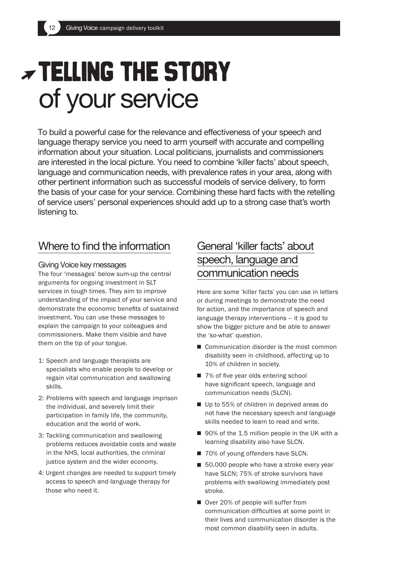## **Telling the story** of your service

To build a powerful case for the relevance and effectiveness of your speech and language therapy service you need to arm yourself with accurate and compelling information about your situation. Local politicians, journalists and commissioners are interested in the local picture. You need to combine 'killer facts' about speech, language and communication needs, with prevalence rates in your area, along with other pertinent information such as successful models of service delivery, to form the basis of your case for your service. Combining these hard facts with the retelling of service users' personal experiences should add up to a strong case that's worth listening to.

## Where to find the information

### Giving Voice key messages

The four 'messages' below sum-up the central arguments for ongoing investment in SLT services in tough times. They aim to improve understanding of the impact of your service and demonstrate the economic benefits of sustained investment. You can use these messages to explain the campaign to your colleagues and commissioners. Make them visible and have them on the tip of your tongue.

- 1: Speech and language therapists are specialists who enable people to develop or regain vital communication and swallowing skills.
- 2: Problems with speech and language imprison the individual, and severely limit their participation in family life, the community, education and the world of work.
- 3: Tackling communication and swallowing problems reduces avoidable costs and waste in the NHS, local authorities, the criminal justice system and the wider economy.
- 4: Urgent changes are needed to support timely access to speech and language therapy for those who need it.

## General 'killer facts' about speech, language and communication needs

Here are some 'killer facts' you can use in letters or during meetings to demonstrate the need for action, and the importance of speech and language therapy interventions – it is good to show the bigger picture and be able to answer the 'so-what' question.

- $\blacksquare$  Communication disorder is the most common disability seen in childhood, affecting up to 10% of children in society.
- 7% of five year olds entering school have significant speech, language and communication needs (SLCN).
- Up to 55% of children in deprived areas do not have the necessary speech and language skills needed to learn to read and write.
- $\blacksquare$  90% of the 1.5 million people in the UK with a learning disability also have SLCN.
- 70% of young offenders have SLCN.
- $\blacksquare$  50,000 people who have a stroke every year have SLCN; 75% of stroke survivors have problems with swallowing immediately post stroke.
- Over 20% of people will suffer from communication difficulties at some point in their lives and communication disorder is the most common disability seen in adults.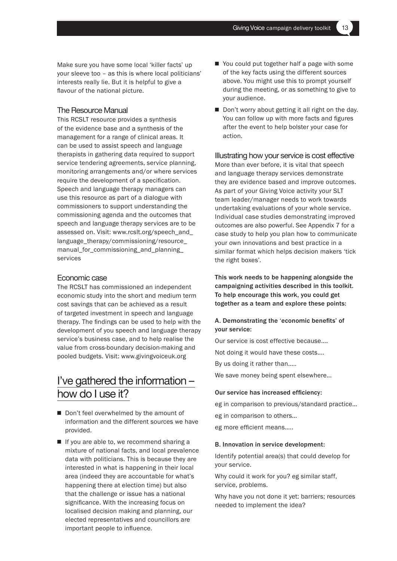Make sure you have some local 'killer facts' up your sleeve too – as this is where local politicians' interests really lie. But it is helpful to give a flavour of the national picture.

#### The Resource Manual

This RCSLT resource provides a synthesis of the evidence base and a synthesis of the management for a range of clinical areas. It can be used to assist speech and language therapists in gathering data required to support service tendering agreements, service planning, monitoring arrangements and/or where services require the development of a specification. Speech and language therapy managers can use this resource as part of a dialogue with commissioners to support understanding the commissioning agenda and the outcomes that speech and language therapy services are to be assessed on. Visit: www.rcslt.org/speech\_and\_ language\_therapy/commissioning/resource\_ manual\_for\_commissioning\_and\_planning\_ services

#### Economic case

The RCSLT has commissioned an independent economic study into the short and medium term cost savings that can be achieved as a result of targeted investment in speech and language therapy. The findings can be used to help with the development of you speech and language therapy service's business case, and to help realise the value from cross-boundary decision-making and pooled budgets. Visit: www.givingvoiceuk.org

## I've gathered the information – how do I use it?

- Don't feel overwhelmed by the amount of information and the different sources we have provided.
- $\blacksquare$  If you are able to, we recommend sharing a mixture of national facts, and local prevalence data with politicians. This is because they are interested in what is happening in their local area (indeed they are accountable for what's happening there at election time) but also that the challenge or issue has a national significance. With the increasing focus on localised decision making and planning, our elected representatives and councillors are important people to influence.
- $\blacksquare$  You could put together half a page with some of the key facts using the different sources above. You might use this to prompt yourself during the meeting, or as something to give to your audience.
- $\blacksquare$  Don't worry about getting it all right on the day. You can follow up with more facts and figures after the event to help bolster your case for action.

#### Illustrating how your service is cost effective

More than ever before, it is vital that speech and language therapy services demonstrate they are evidence based and improve outcomes. As part of your Giving Voice activity your SLT team leader/manager needs to work towards undertaking evaluations of your whole service. Individual case studies demonstrating improved outcomes are also powerful. See Appendix 7 for a case study to help you plan how to communicate your own innovations and best practice in a similar format which helps decision makers 'tick the right boxes'.

This work needs to be happening alongside the campaigning activities described in this toolkit. To help encourage this work, you could get together as a team and explore these points:

#### A. Demonstrating the 'economic benefits' of your service:

Our service is cost effective because….

Not doing it would have these costs….

By us doing it rather than…..

We save money being spent elsewhere…

#### Our service has increased efficiency:

eg in comparison to previous/standard practice… eg in comparison to others… eg more efficient means…..

#### B. Innovation in service development:

Identify potential area(s) that could develop for your service.

Why could it work for you? eg similar staff, service, problems.

Why have you not done it yet: barriers; resources needed to implement the idea?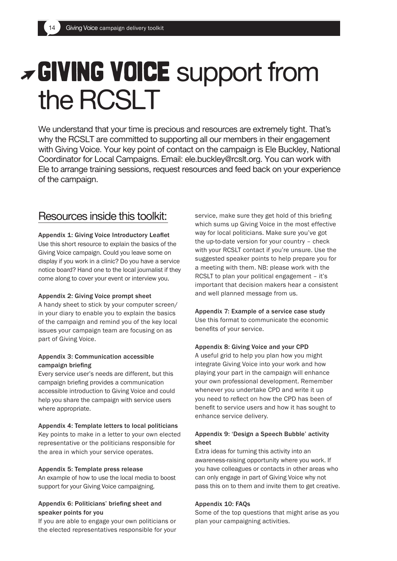## **Giving Voice** support from the RCSLT

We understand that your time is precious and resources are extremely tight. That's why the RCSLT are committed to supporting all our members in their engagement with Giving Voice. Your key point of contact on the campaign is Ele Buckley, National Coordinator for Local Campaigns. Email: ele.buckley@rcslt.org. You can work with Ele to arrange training sessions, request resources and feed back on your experience of the campaign.

## Resources inside this toolkit:

#### Appendix 1: Giving Voice Introductory Leaflet

Use this short resource to explain the basics of the Giving Voice campaign. Could you leave some on display if you work in a clinic? Do you have a service notice board? Hand one to the local journalist if they come along to cover your event or interview you.

#### Appendix 2: Giving Voice prompt sheet

A handy sheet to stick by your computer screen/ in your diary to enable you to explain the basics of the campaign and remind you of the key local issues your campaign team are focusing on as part of Giving Voice.

#### Appendix 3: Communication accessible campaign briefing

Every service user's needs are different, but this campaign briefing provides a communication accessible introduction to Giving Voice and could help you share the campaign with service users where appropriate.

#### Appendix 4: Template letters to local politicians

Key points to make in a letter to your own elected representative or the politicians responsible for the area in which your service operates.

#### Appendix 5: Template press release

An example of how to use the local media to boost support for your Giving Voice campaigning.

#### Appendix 6: Politicians' briefing sheet and speaker points for you

If you are able to engage your own politicians or the elected representatives responsible for your service, make sure they get hold of this briefing which sums up Giving Voice in the most effective way for local politicians. Make sure you've got the up-to-date version for your country – check with your RCSLT contact if you're unsure. Use the suggested speaker points to help prepare you for a meeting with them. NB: please work with the RCSLT to plan your political engagement – it's important that decision makers hear a consistent and well planned message from us.

Appendix 7: Example of a service case study Use this format to communicate the economic benefits of your service.

#### Appendix 8: Giving Voice and your CPD

A useful grid to help you plan how you might integrate Giving Voice into your work and how playing your part in the campaign will enhance your own professional development. Remember whenever you undertake CPD and write it up you need to reflect on how the CPD has been of benefit to service users and how it has sought to enhance service delivery.

### Appendix 9: 'Design a Speech Bubble' activity sheet

Extra ideas for turning this activity into an awareness-raising opportunity where you work. If you have colleagues or contacts in other areas who can only engage in part of Giving Voice why not pass this on to them and invite them to get creative.

#### Appendix 10: FAQs

Some of the top questions that might arise as you plan your campaigning activities.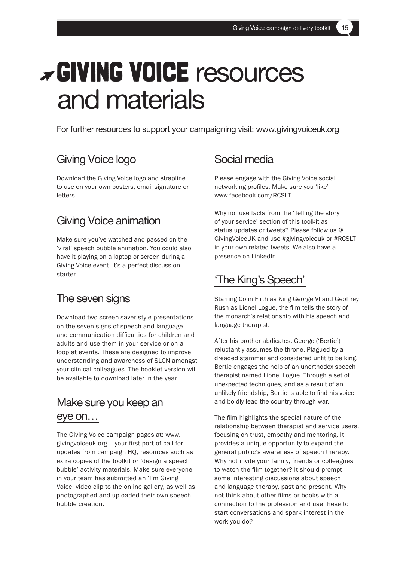## **Giving Voice** resources and materials

For further resources to support your campaigning visit: www.givingvoiceuk.org

## Giving Voice logo

Download the Giving Voice logo and strapline to use on your own posters, email signature or letters.

## Giving Voice animation

Make sure you've watched and passed on the 'viral' speech bubble animation. You could also have it playing on a laptop or screen during a Giving Voice event. It's a perfect discussion starter.

## The seven signs

Download two screen-saver style presentations on the seven signs of speech and language and communication difficulties for children and adults and use them in your service or on a loop at events. These are designed to improve understanding and awareness of SLCN amongst your clinical colleagues. The booklet version will be available to download later in the year.

## Make sure you keep an eye on…

The Giving Voice campaign pages at: www. givingvoiceuk.org – your first port of call for updates from campaign HQ, resources such as extra copies of the toolkit or 'design a speech bubble' activity materials. Make sure everyone in your team has submitted an 'I'm Giving Voice' video clip to the online gallery, as well as photographed and uploaded their own speech bubble creation.

## Social media

Please engage with the Giving Voice social networking profiles. Make sure you 'like' www.facebook.com/RCSLT

Why not use facts from the 'Telling the story of your service' section of this toolkit as status updates or tweets? Please follow us @ GivingVoiceUK and use #givingvoiceuk or #RCSLT in your own related tweets. We also have a presence on LinkedIn.

## 'The King's Speech'

Starring Colin Firth as King George VI and Geoffrey Rush as Lionel Logue, the film tells the story of the monarch's relationship with his speech and language therapist.

After his brother abdicates, George ('Bertie') reluctantly assumes the throne. Plagued by a dreaded stammer and considered unfit to be king, Bertie engages the help of an unorthodox speech therapist named Lionel Logue. Through a set of unexpected techniques, and as a result of an unlikely friendship, Bertie is able to find his voice and boldly lead the country through war.

The film highlights the special nature of the relationship between therapist and service users, focusing on trust, empathy and mentoring. It provides a unique opportunity to expand the general public's awareness of speech therapy. Why not invite your family, friends or colleagues to watch the film together? It should prompt some interesting discussions about speech and language therapy, past and present. Why not think about other films or books with a connection to the profession and use these to start conversations and spark interest in the work you do?